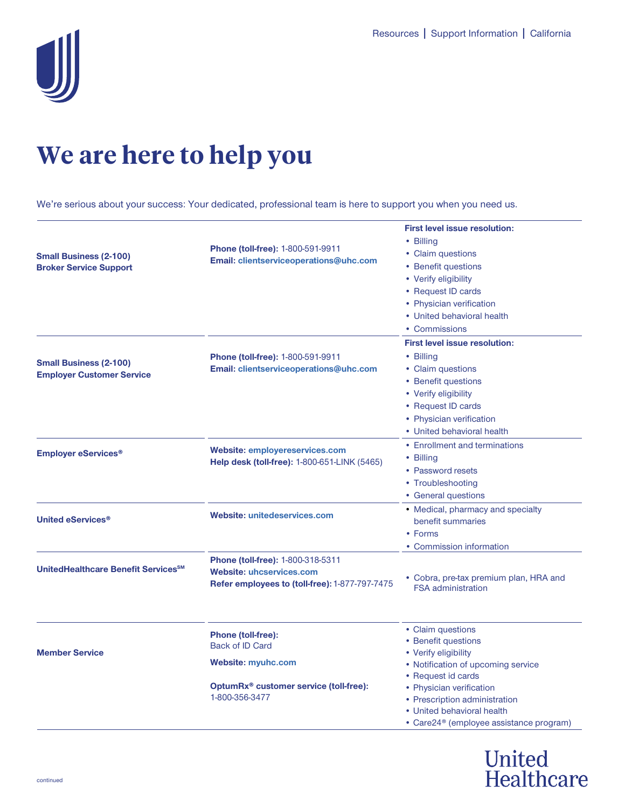

# **We are here to help you**

We're serious about your success: Your dedicated, professional team is here to support you when you need us.

| <b>Small Business (2-100)</b><br><b>Broker Service Support</b>    | <b>Phone (toll-free): 1-800-591-9911</b><br>Email: clientserviceoperations@uhc.com                                                           | <b>First level issue resolution:</b><br>• Billing<br>• Claim questions<br>• Benefit questions<br>• Verify eligibility<br>• Request ID cards<br>• Physician verification<br>• United behavioral health<br>• Commissions |
|-------------------------------------------------------------------|----------------------------------------------------------------------------------------------------------------------------------------------|------------------------------------------------------------------------------------------------------------------------------------------------------------------------------------------------------------------------|
| <b>Small Business (2-100)</b><br><b>Employer Customer Service</b> | <b>Phone (toll-free): 1-800-591-9911</b><br>Email: clientserviceoperations@uhc.com                                                           | <b>First level issue resolution:</b><br>• Billing<br>• Claim questions<br>• Benefit questions<br>• Verify eligibility<br>• Request ID cards<br>• Physician verification<br>• United behavioral health                  |
| <b>Employer eServices<sup>®</sup></b>                             | <b>Website: employereservices.com</b><br>Help desk (toll-free): 1-800-651-LINK (5465)                                                        | • Enrollment and terminations<br>• Billing<br>• Password resets<br>• Troubleshooting<br>• General questions                                                                                                            |
| United eServices <sup>®</sup>                                     | Website: unitedeservices.com                                                                                                                 | • Medical, pharmacy and specialty<br>benefit summaries<br>• Forms<br>• Commission information                                                                                                                          |
| UnitedHealthcare Benefit Services <sup>SM</sup>                   | <b>Phone (toll-free): 1-800-318-5311</b><br><b>Website: uhcservices.com</b><br>Refer employees to (toll-free): 1-877-797-7475                | • Cobra, pre-tax premium plan, HRA and<br><b>FSA administration</b>                                                                                                                                                    |
| <b>Member Service</b>                                             | <b>Phone (toll-free):</b><br><b>Back of ID Card</b><br><b>Website: myuhc.com</b><br>OptumRx® customer service (toll-free):<br>1-800-356-3477 | • Claim questions<br>• Benefit questions<br>• Verify eligibility<br>• Notification of upcoming service<br>• Request id cards<br>• Physician verification<br>• Prescription administration                              |
|                                                                   |                                                                                                                                              | • United behavioral health<br>• Care24 <sup>®</sup> (employee assistance program)                                                                                                                                      |